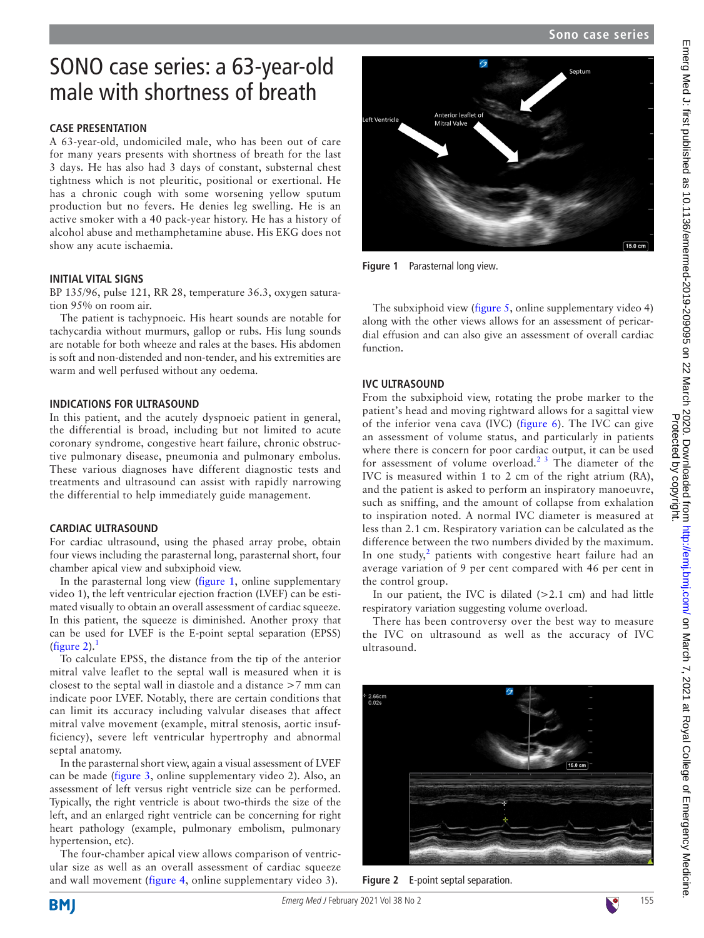$15.0 \text{ cm}$ 

# **oft Ventricle** Mitral Valve

<span id="page-0-0"></span>**Figure 1** Parasternal long view.

The subxiphoid view ([figure](#page-1-2) 5, [online supplementary video 4](https://dx.doi.org/10.1136/emermed-2019-209095)) along with the other views allows for an assessment of pericardial effusion and can also give an assessment of overall cardiac function.

#### **IVC ULTRASOUND**

From the subxiphoid view, rotating the probe marker to the patient's head and moving rightward allows for a sagittal view of the inferior vena cava (IVC) ([figure](#page-1-3) 6). The IVC can give an assessment of volume status, and particularly in patients where there is concern for poor cardiac output, it can be used for assessment of volume overload.<sup>[2 3](#page-2-1)</sup> The diameter of the IVC is measured within 1 to 2 cm of the right atrium (RA), and the patient is asked to perform an inspiratory manoeuvre, such as sniffing, and the amount of collapse from exhalation to inspiration noted. A normal IVC diameter is measured at less than 2.1 cm. Respiratory variation can be calculated as the difference between the two numbers divided by the maximum. In one study, $2$  patients with congestive heart failure had an average variation of 9 per cent compared with 46 per cent in the control group.

In our patient, the IVC is dilated  $(>2.1$  cm) and had little respiratory variation suggesting volume overload.

There has been controversy over the best way to measure the IVC on ultrasound as well as the accuracy of IVC ultrasound.

<span id="page-0-1"></span>

**Figure 2** E-point septal separation.

# SONO case series: a 63-year-old male with shortness of breath

# **Case presentation**

A 63-year-old, undomiciled male, who has been out of care for many years presents with shortness of breath for the last 3 days. He has also had 3 days of constant, substernal chest tightness which is not pleuritic, positional or exertional. He has a chronic cough with some worsening yellow sputum production but no fevers. He denies leg swelling. He is an active smoker with a 40 pack-year history. He has a history of alcohol abuse and methamphetamine abuse. His EKG does not show any acute ischaemia.

### **Initial vital signs**

BP 135/96, pulse 121, RR 28, temperature 36.3, oxygen saturation 95% on room air.

The patient is tachypnoeic. His heart sounds are notable for tachycardia without murmurs, gallop or rubs. His lung sounds are notable for both wheeze and rales at the bases. His abdomen is soft and non-distended and non-tender, and his extremities are warm and well perfused without any oedema.

## **Indications for ultrasound**

In this patient, and the acutely dyspnoeic patient in general, the differential is broad, including but not limited to acute coronary syndrome, congestive heart failure, chronic obstructive pulmonary disease, pneumonia and pulmonary embolus. These various diagnoses have different diagnostic tests and treatments and ultrasound can assist with rapidly narrowing the differential to help immediately guide management.

# **Cardiac ultrasound**

For cardiac ultrasound, using the phased array probe, obtain four views including the parasternal long, parasternal short, four chamber apical view and subxiphoid view.

In the parasternal long view ([figure](#page-0-0) 1, online supplementary [video 1](https://dx.doi.org/10.1136/emermed-2019-209095)), the left ventricular ejection fraction (LVEF) can be estimated visually to obtain an overall assessment of cardiac squeeze. In this patient, the squeeze is diminished. Another proxy that can be used for LVEF is the E-point septal separation (EPSS) ([figure](#page-0-1) 2). $<sup>1</sup>$  $<sup>1</sup>$  $<sup>1</sup>$ </sup>

To calculate EPSS, the distance from the tip of the anterior mitral valve leaflet to the septal wall is measured when it is closest to the septal wall in diastole and a distance >7 mm can indicate poor LVEF. Notably, there are certain conditions that can limit its accuracy including valvular diseases that affect mitral valve movement (example, mitral stenosis, aortic insufficiency), severe left ventricular hypertrophy and abnormal septal anatomy.

In the parasternal short view, again a visual assessment of LVEF can be made ([figure](#page-1-0) 3, [online supplementary video 2\)](https://dx.doi.org/10.1136/emermed-2019-209095). Also, an assessment of left versus right ventricle size can be performed. Typically, the right ventricle is about two-thirds the size of the left, and an enlarged right ventricle can be concerning for right heart pathology (example, pulmonary embolism, pulmonary hypertension, etc).

The four-chamber apical view allows comparison of ventricular size as well as an overall assessment of cardiac squeeze and wall movement ([figure](#page-1-1) 4, [online supplementary video 3](https://dx.doi.org/10.1136/emermed-2019-209095)).

Emerg Med J: first published as 10.1136/emermed-2019-2090 on 22 March 2020. Downloaded from <http://emj.bmj.com/> on March 7, 2021 at Royal College of Emergency Medicine.

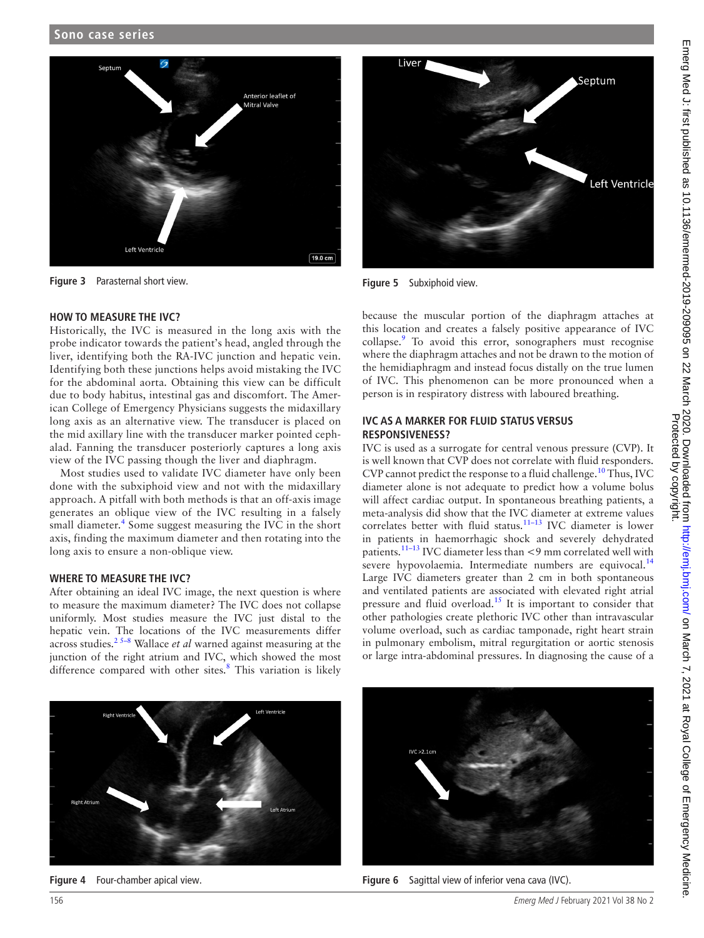

**Figure 3** Parasternal short view.

#### <span id="page-1-0"></span>**How to measure the IVC?**

Historically, the IVC is measured in the long axis with the probe indicator towards the patient's head, angled through the liver, identifying both the RA-IVC junction and hepatic vein. Identifying both these junctions helps avoid mistaking the IVC for the abdominal aorta. Obtaining this view can be difficult due to body habitus, intestinal gas and discomfort. The American College of Emergency Physicians suggests the midaxillary long axis as an alternative view. The transducer is placed on the mid axillary line with the transducer marker pointed cephalad. Fanning the transducer posteriorly captures a long axis view of the IVC passing though the liver and diaphragm.

Most studies used to validate IVC diameter have only been done with the subxiphoid view and not with the midaxillary approach. A pitfall with both methods is that an off-axis image generates an oblique view of the IVC resulting in a falsely small diameter.<sup>[4](#page-2-2)</sup> Some suggest measuring the IVC in the short axis, finding the maximum diameter and then rotating into the long axis to ensure a non-oblique view.

#### **Where to measure the IVC?**

After obtaining an ideal IVC image, the next question is where to measure the maximum diameter? The IVC does not collapse uniformly. Most studies measure the IVC just distal to the hepatic vein. The locations of the IVC measurements differ across studies.[2 5–8](#page-2-1) Wallace *et al* warned against measuring at the junction of the right atrium and IVC, which showed the most difference compared with other sites. $8$  This variation is likely



**Figure 5** Subxiphoid view.

<span id="page-1-2"></span>because the muscular portion of the diaphragm attaches at this location and creates a falsely positive appearance of IVC collapse.<sup>[9](#page-2-4)</sup> To avoid this error, sonographers must recognise where the diaphragm attaches and not be drawn to the motion of the hemidiaphragm and instead focus distally on the true lumen of IVC. This phenomenon can be more pronounced when a person is in respiratory distress with laboured breathing.

#### **IVC as a marker for fluid status versus responsiveness?**

IVC is used as a surrogate for central venous pressure (CVP). It is well known that CVP does not correlate with fluid responders. CVP cannot predict the response to a fluid challenge.<sup>[10](#page-2-5)</sup> Thus, IVC diameter alone is not adequate to predict how a volume bolus will affect cardiac output. In spontaneous breathing patients, a meta-analysis did show that the IVC diameter at extreme values correlates better with fluid status.<sup>11–13</sup> IVC diameter is lower in patients in haemorrhagic shock and severely dehydrated patients[.11–13](#page-2-6) IVC diameter less than <9 mm correlated well with severe hypovolaemia. Intermediate numbers are equivocal.<sup>[14](#page-2-7)</sup> Large IVC diameters greater than 2 cm in both spontaneous and ventilated patients are associated with elevated right atrial pressure and fluid overload.<sup>15</sup> It is important to consider that other pathologies create plethoric IVC other than intravascular volume overload, such as cardiac tamponade, right heart strain in pulmonary embolism, mitral regurgitation or aortic stenosis or large intra-abdominal pressures. In diagnosing the cause of a

<span id="page-1-1"></span>

**Figure 4** Four-chamber apical view.

<span id="page-1-3"></span>

**Figure 6** Sagittal view of inferior vena cava (IVC).